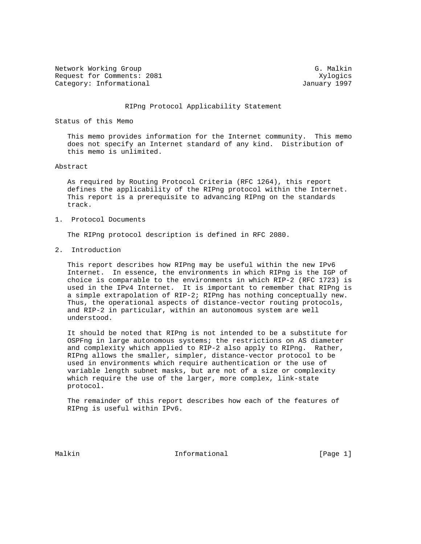Network Working Group G. Malkin G. Malkin Request for Comments: 2081 Xylogics Category: Informational and Category: Informational and January 1997

#### RIPng Protocol Applicability Statement

Status of this Memo

 This memo provides information for the Internet community. This memo does not specify an Internet standard of any kind. Distribution of this memo is unlimited.

Abstract

 As required by Routing Protocol Criteria (RFC 1264), this report defines the applicability of the RIPng protocol within the Internet. This report is a prerequisite to advancing RIPng on the standards track.

1. Protocol Documents

The RIPng protocol description is defined in RFC 2080.

2. Introduction

 This report describes how RIPng may be useful within the new IPv6 Internet. In essence, the environments in which RIPng is the IGP of choice is comparable to the environments in which RIP-2 (RFC 1723) is used in the IPv4 Internet. It is important to remember that RIPng is a simple extrapolation of RIP-2; RIPng has nothing conceptually new. Thus, the operational aspects of distance-vector routing protocols, and RIP-2 in particular, within an autonomous system are well understood.

 It should be noted that RIPng is not intended to be a substitute for OSPFng in large autonomous systems; the restrictions on AS diameter and complexity which applied to RIP-2 also apply to RIPng. Rather, RIPng allows the smaller, simpler, distance-vector protocol to be used in environments which require authentication or the use of variable length subnet masks, but are not of a size or complexity which require the use of the larger, more complex, link-state protocol.

 The remainder of this report describes how each of the features of RIPng is useful within IPv6.

Malkin **Informational Informational** [Page 1]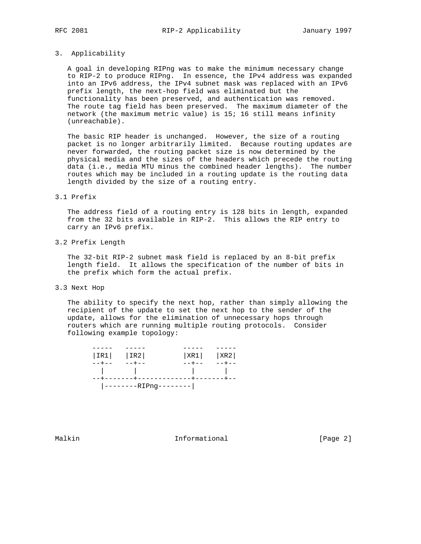## 3. Applicability

 A goal in developing RIPng was to make the minimum necessary change to RIP-2 to produce RIPng. In essence, the IPv4 address was expanded into an IPv6 address, the IPv4 subnet mask was replaced with an IPv6 prefix length, the next-hop field was eliminated but the functionality has been preserved, and authentication was removed. The route tag field has been preserved. The maximum diameter of the network (the maximum metric value) is 15; 16 still means infinity (unreachable).

 The basic RIP header is unchanged. However, the size of a routing packet is no longer arbitrarily limited. Because routing updates are never forwarded, the routing packet size is now determined by the physical media and the sizes of the headers which precede the routing data (i.e., media MTU minus the combined header lengths). The number routes which may be included in a routing update is the routing data length divided by the size of a routing entry.

#### 3.1 Prefix

 The address field of a routing entry is 128 bits in length, expanded from the 32 bits available in RIP-2. This allows the RIP entry to carry an IPv6 prefix.

3.2 Prefix Length

 The 32-bit RIP-2 subnet mask field is replaced by an 8-bit prefix length field. It allows the specification of the number of bits in the prefix which form the actual prefix.

3.3 Next Hop

 The ability to specify the next hop, rather than simply allowing the recipient of the update to set the next hop to the sender of the update, allows for the elimination of unnecessary hops through routers which are running multiple routing protocols. Consider following example topology:

| $ IR1 $ $ IR2 $                     |                            | $ XR1 $ $ XR2 $                         |             |
|-------------------------------------|----------------------------|-----------------------------------------|-------------|
| $- - + - -$                         | $--+--$                    | $- - + - -$                             | $- - + - -$ |
| and the contract of the contract of |                            | and the contract of the contract of the |             |
|                                     | --+-------+-------------+- |                                         |             |
|                                     | --------RIPng--------      |                                         |             |

Malkin **Informational** Informational [Page 2]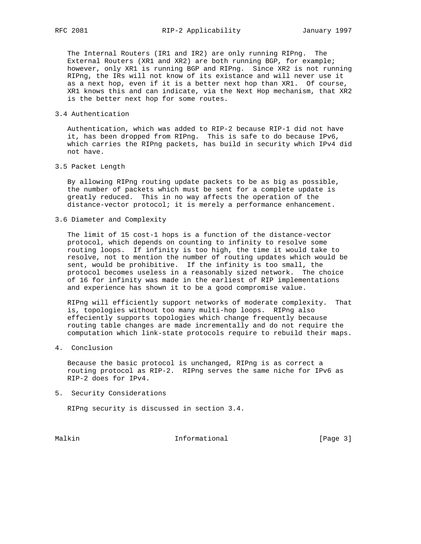The Internal Routers (IR1 and IR2) are only running RIPng. The External Routers (XR1 and XR2) are both running BGP, for example; however, only XR1 is running BGP and RIPng. Since XR2 is not running RIPng, the IRs will not know of its existance and will never use it as a next hop, even if it is a better next hop than XR1. Of course, XR1 knows this and can indicate, via the Next Hop mechanism, that XR2 is the better next hop for some routes.

# 3.4 Authentication

 Authentication, which was added to RIP-2 because RIP-1 did not have it, has been dropped from RIPng. This is safe to do because IPv6, which carries the RIPng packets, has build in security which IPv4 did not have.

# 3.5 Packet Length

 By allowing RIPng routing update packets to be as big as possible, the number of packets which must be sent for a complete update is greatly reduced. This in no way affects the operation of the distance-vector protocol; it is merely a performance enhancement.

3.6 Diameter and Complexity

 The limit of 15 cost-1 hops is a function of the distance-vector protocol, which depends on counting to infinity to resolve some routing loops. If infinity is too high, the time it would take to resolve, not to mention the number of routing updates which would be sent, would be prohibitive. If the infinity is too small, the protocol becomes useless in a reasonably sized network. The choice of 16 for infinity was made in the earliest of RIP implementations and experience has shown it to be a good compromise value.

 RIPng will efficiently support networks of moderate complexity. That is, topologies without too many multi-hop loops. RIPng also effeciently supports topologies which change frequently because routing table changes are made incrementally and do not require the computation which link-state protocols require to rebuild their maps.

# 4. Conclusion

 Because the basic protocol is unchanged, RIPng is as correct a routing protocol as RIP-2. RIPng serves the same niche for IPv6 as RIP-2 does for IPv4.

5. Security Considerations

RIPng security is discussed in section 3.4.

Malkin **Informational Informational** [Page 3]